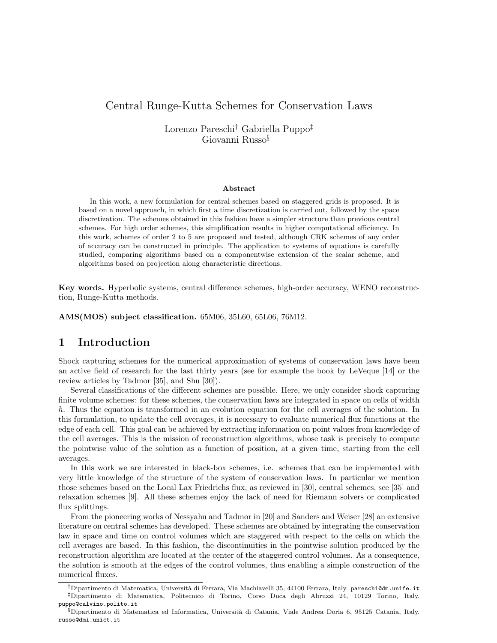# Central Runge-Kutta Schemes for Conservation Laws

Lorenzo Pareschi† Gabriella Puppo‡ Giovanni Russo§

#### Abstract

In this work, a new formulation for central schemes based on staggered grids is proposed. It is based on a novel approach, in which first a time discretization is carried out, followed by the space discretization. The schemes obtained in this fashion have a simpler structure than previous central schemes. For high order schemes, this simplification results in higher computational efficiency. In this work, schemes of order 2 to 5 are proposed and tested, although CRK schemes of any order of accuracy can be constructed in principle. The application to systems of equations is carefully studied, comparing algorithms based on a componentwise extension of the scalar scheme, and algorithms based on projection along characteristic directions.

Key words. Hyperbolic systems, central difference schemes, high-order accuracy, WENO reconstruction, Runge-Kutta methods.

AMS(MOS) subject classification. 65M06, 35L60, 65L06, 76M12.

### 1 Introduction

Shock capturing schemes for the numerical approximation of systems of conservation laws have been an active field of research for the last thirty years (see for example the book by LeVeque [14] or the review articles by Tadmor [35], and Shu [30]).

Several classifications of the different schemes are possible. Here, we only consider shock capturing finite volume schemes: for these schemes, the conservation laws are integrated in space on cells of width h. Thus the equation is transformed in an evolution equation for the cell averages of the solution. In this formulation, to update the cell averages, it is necessary to evaluate numerical flux functions at the edge of each cell. This goal can be achieved by extracting information on point values from knowledge of the cell averages. This is the mission of reconstruction algorithms, whose task is precisely to compute the pointwise value of the solution as a function of position, at a given time, starting from the cell averages.

In this work we are interested in black-box schemes, i.e. schemes that can be implemented with very little knowledge of the structure of the system of conservation laws. In particular we mention those schemes based on the Local Lax Friedrichs flux, as reviewed in [30], central schemes, see [35] and relaxation schemes [9]. All these schemes enjoy the lack of need for Riemann solvers or complicated flux splittings.

From the pioneering works of Nessyahu and Tadmor in [20] and Sanders and Weiser [28] an extensive literature on central schemes has developed. These schemes are obtained by integrating the conservation law in space and time on control volumes which are staggered with respect to the cells on which the cell averages are based. In this fashion, the discontinuities in the pointwise solution produced by the reconstruction algorithm are located at the center of the staggered control volumes. As a consequence, the solution is smooth at the edges of the control volumes, thus enabling a simple construction of the numerical fluxes.

 $^\dagger$ Dipartimento di Matematica, Università di Ferrara, Via Machiavelli 35, 44100 Ferrara, Italy. pareschi@dm.unife.it ‡Dipartimento di Matematica, Politecnico di Torino, Corso Duca degli Abruzzi 24, 10129 Torino, Italy. puppo@calvino.polito.it

<sup>§</sup>Dipartimento di Matematica ed Informatica, Università di Catania, Viale Andrea Doria 6, 95125 Catania, Italy. russo@dmi.unict.it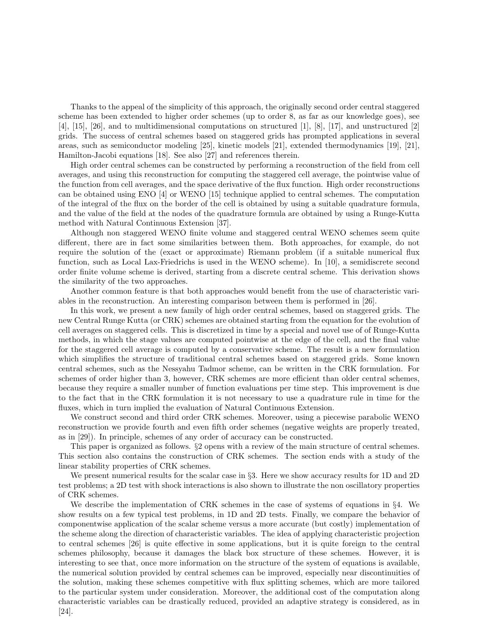Thanks to the appeal of the simplicity of this approach, the originally second order central staggered scheme has been extended to higher order schemes (up to order 8, as far as our knowledge goes), see [4], [15], [26], and to multidimensional computations on structured [1], [8], [17], and unstructured [2] grids. The success of central schemes based on staggered grids has prompted applications in several areas, such as semiconductor modeling [25], kinetic models [21], extended thermodynamics [19], [21], Hamilton-Jacobi equations [18]. See also [27] and references therein.

High order central schemes can be constructed by performing a reconstruction of the field from cell averages, and using this reconstruction for computing the staggered cell average, the pointwise value of the function from cell averages, and the space derivative of the flux function. High order reconstructions can be obtained using ENO [4] or WENO [15] technique applied to central schemes. The computation of the integral of the flux on the border of the cell is obtained by using a suitable quadrature formula, and the value of the field at the nodes of the quadrature formula are obtained by using a Runge-Kutta method with Natural Continuous Extension [37].

Although non staggered WENO finite volume and staggered central WENO schemes seem quite different, there are in fact some similarities between them. Both approaches, for example, do not require the solution of the (exact or approximate) Riemann problem (if a suitable numerical flux function, such as Local Lax-Friedrichs is used in the WENO scheme). In [10], a semidiscrete second order finite volume scheme is derived, starting from a discrete central scheme. This derivation shows the similarity of the two approaches.

Another common feature is that both approaches would benefit from the use of characteristic variables in the reconstruction. An interesting comparison between them is performed in [26].

In this work, we present a new family of high order central schemes, based on staggered grids. The new Central Runge Kutta (or CRK) schemes are obtained starting from the equation for the evolution of cell averages on staggered cells. This is discretized in time by a special and novel use of of Runge-Kutta methods, in which the stage values are computed pointwise at the edge of the cell, and the final value for the staggered cell average is computed by a conservative scheme. The result is a new formulation which simplifies the structure of traditional central schemes based on staggered grids. Some known central schemes, such as the Nessyahu Tadmor scheme, can be written in the CRK formulation. For schemes of order higher than 3, however, CRK schemes are more efficient than older central schemes, because they require a smaller number of function evaluations per time step. This improvement is due to the fact that in the CRK formulation it is not necessary to use a quadrature rule in time for the fluxes, which in turn implied the evaluation of Natural Continuous Extension.

We construct second and third order CRK schemes. Moreover, using a piecewise parabolic WENO reconstruction we provide fourth and even fifth order schemes (negative weights are properly treated, as in [29]). In principle, schemes of any order of accuracy can be constructed.

This paper is organized as follows. §2 opens with a review of the main structure of central schemes. This section also contains the construction of CRK schemes. The section ends with a study of the linear stability properties of CRK schemes.

We present numerical results for the scalar case in §3. Here we show accuracy results for 1D and 2D test problems; a 2D test with shock interactions is also shown to illustrate the non oscillatory properties of CRK schemes.

We describe the implementation of CRK schemes in the case of systems of equations in §4. We show results on a few typical test problems, in 1D and 2D tests. Finally, we compare the behavior of componentwise application of the scalar scheme versus a more accurate (but costly) implementation of the scheme along the direction of characteristic variables. The idea of applying characteristic projection to central schemes [26] is quite effective in some applications, but it is quite foreign to the central schemes philosophy, because it damages the black box structure of these schemes. However, it is interesting to see that, once more information on the structure of the system of equations is available, the numerical solution provided by central schemes can be improved, especially near discontinuities of the solution, making these schemes competitive with flux splitting schemes, which are more tailored to the particular system under consideration. Moreover, the additional cost of the computation along characteristic variables can be drastically reduced, provided an adaptive strategy is considered, as in [24].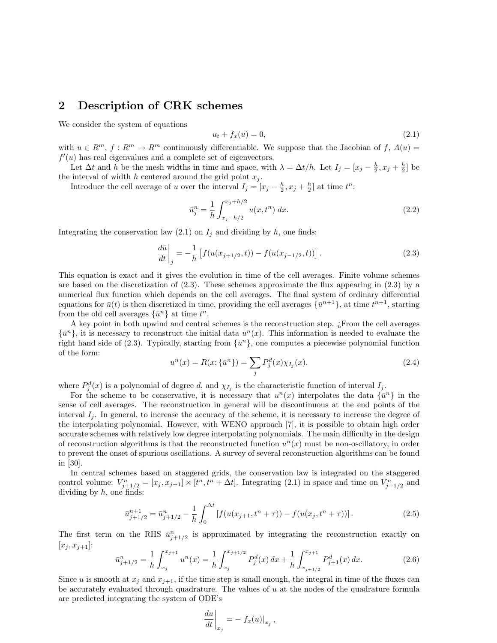# 2 Description of CRK schemes

We consider the system of equations

$$
u_t + f_x(u) = 0,\t\t(2.1)
$$

with  $u \in R^m$ ,  $f: R^m \to R^m$  continuously differentiable. We suppose that the Jacobian of  $f, A(u)$  $f'(u)$  has real eigenvalues and a complete set of eigenvectors.

Let  $\Delta t$  and h be the mesh widths in time and space, with  $\lambda = \Delta t/h$ . Let  $I_j = [x_j - \frac{h}{2}, x_j + \frac{h}{2}]$  be the interval of width h centered around the grid point  $x_j$ .

Introduce the cell average of u over the interval  $I_j = [x_j - \frac{h}{2}, x_j + \frac{h}{2}]$  at time  $t^n$ :

$$
\bar{u}_j^n = \frac{1}{h} \int_{x_j - h/2}^{x_j + h/2} u(x, t^n) dx.
$$
\n(2.2)

Integrating the conservation law  $(2.1)$  on  $I_i$  and dividing by h, one finds:

$$
\frac{d\bar{u}}{dt}\bigg|_{j} = -\frac{1}{h} \left[ f(u(x_{j+1/2}, t)) - f(u(x_{j-1/2}, t)) \right].
$$
\n(2.3)

This equation is exact and it gives the evolution in time of the cell averages. Finite volume schemes are based on the discretization of  $(2.3)$ . These schemes approximate the flux appearing in  $(2.3)$  by a numerical flux function which depends on the cell averages. The final system of ordinary differential equations for  $\bar{u}(t)$  is then discretized in time, providing the cell averages  $\{\bar{u}^{n+1}\}$ , at time  $t^{n+1}$ , starting from the old cell averages  $\{\bar{u}^n\}$  at time  $t^n$ .

A key point in both upwind and central schemes is the reconstruction step. ¿From the cell averages  $\{\bar{u}^n\}$ , it is necessary to reconstruct the initial data  $u^n(x)$ . This information is needed to evaluate the right hand side of (2.3). Typically, starting from  $\{\bar{u}^n\}$ , one computes a piecewise polynomial function of the form:

$$
u^{n}(x) = R(x; \{\bar{u}^{n}\}) = \sum_{j} P_{j}^{d}(x)\chi_{I_{j}}(x).
$$
\n(2.4)

where  $P_j^d(x)$  is a polynomial of degree d, and  $\chi_{I_j}$  is the characteristic function of interval  $I_j$ .

For the scheme to be conservative, it is necessary that  $u^{n}(x)$  interpolates the data  $\{\bar{u}^{n}\}\$  in the sense of cell averages. The reconstruction in general will be discontinuous at the end points of the interval  $I_i$ . In general, to increase the accuracy of the scheme, it is necessary to increase the degree of the interpolating polynomial. However, with WENO approach [7], it is possible to obtain high order accurate schemes with relatively low degree interpolating polynomials. The main difficulty in the design of reconstruction algorithms is that the reconstructed function  $u<sup>n</sup>(x)$  must be non-oscillatory, in order to prevent the onset of spurious oscillations. A survey of several reconstruction algorithms can be found in [30].

In central schemes based on staggered grids, the conservation law is integrated on the staggered control volume:  $V_{j+1/2}^n = [x_j, x_{j+1}] \times [t^n, t^n + \Delta t]$ . Integrating (2.1) in space and time on  $V_{j+1/2}^n$  and dividing by  $h$ , one finds:

$$
\bar{u}_{j+1/2}^{n+1} = \bar{u}_{j+1/2}^n - \frac{1}{h} \int_0^{\Delta t} \left[ f(u(x_{j+1}, t^n + \tau)) - f(u(x_j, t^n + \tau)) \right]. \tag{2.5}
$$

The first term on the RHS  $\bar{u}_{j+1/2}^n$  is approximated by integrating the reconstruction exactly on  $[x_j, x_{j+1}]:$  $\int x_{j+1}$  $\int x_{j+1}$ 

$$
\bar{u}_{j+1/2}^n = \frac{1}{h} \int_{x_j}^{x_{j+1}} u^n(x) = \frac{1}{h} \int_{x_j}^{x_{j+1/2}} P_j^d(x) \, dx + \frac{1}{h} \int_{x_{j+1/2}}^{x_{j+1}} P_{j+1}^d(x) \, dx. \tag{2.6}
$$

Since u is smooth at  $x_j$  and  $x_{j+1}$ , if the time step is small enough, the integral in time of the fluxes can be accurately evaluated through quadrature. The values of u at the nodes of the quadrature formula are predicted integrating the system of ODE's

$$
\left. \frac{du}{dt} \right|_{x_j} = - \left. f_x(u) \right|_{x_j},
$$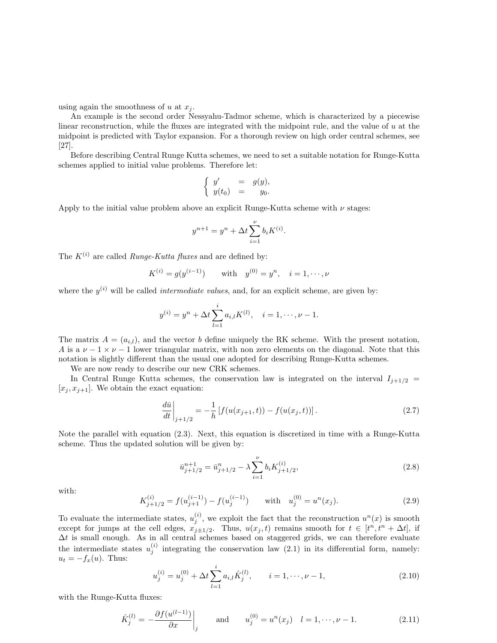using again the smoothness of  $u$  at  $x_j$ .

An example is the second order Nessyahu-Tadmor scheme, which is characterized by a piecewise linear reconstruction, while the fluxes are integrated with the midpoint rule, and the value of u at the midpoint is predicted with Taylor expansion. For a thorough review on high order central schemes, see [27].

Before describing Central Runge Kutta schemes, we need to set a suitable notation for Runge-Kutta schemes applied to initial value problems. Therefore let:

$$
\begin{cases}\ny' &= g(y), \\
y(t_0) &= y_0.\n\end{cases}
$$

Apply to the initial value problem above an explicit Runge-Kutta scheme with  $\nu$  stages:

$$
y^{n+1} = y^n + \Delta t \sum_{i=1}^{\nu} b_i K^{(i)}.
$$

The  $K^{(i)}$  are called *Runge-Kutta fluxes* and are defined by:

$$
K^{(i)} = g(y^{(i-1)})
$$
 with  $y^{(0)} = y^n$ ,  $i = 1, \dots, \nu$ 

where the  $y^{(i)}$  will be called *intermediate values*, and, for an explicit scheme, are given by:

$$
y^{(i)} = y^n + \Delta t \sum_{l=1}^i a_{i,l} K^{(l)}, \quad i = 1, \dots, \nu - 1.
$$

The matrix  $A = (a_{i,l})$ , and the vector b define uniquely the RK scheme. With the present notation, A is a  $\nu - 1 \times \nu - 1$  lower triangular matrix, with non zero elements on the diagonal. Note that this notation is slightly different than the usual one adopted for describing Runge-Kutta schemes.

We are now ready to describe our new CRK schemes.

In Central Runge Kutta schemes, the conservation law is integrated on the interval  $I_{i+1/2}$  =  $[x_j, x_{j+1}]$ . We obtain the exact equation:

$$
\left. \frac{d\bar{u}}{dt} \right|_{j+1/2} = -\frac{1}{h} \left[ f(u(x_{j+1}, t)) - f(u(x_j, t)) \right]. \tag{2.7}
$$

Note the parallel with equation (2.3). Next, this equation is discretized in time with a Runge-Kutta scheme. Thus the updated solution will be given by:

$$
\bar{u}_{j+1/2}^{n+1} = \bar{u}_{j+1/2}^n - \lambda \sum_{i=1}^{\nu} b_i K_{j+1/2}^{(i)},
$$
\n(2.8)

with:

$$
K_{j+1/2}^{(i)} = f(u_{j+1}^{(i-1)}) - f(u_j^{(i-1)}) \quad \text{with} \quad u_j^{(0)} = u^n(x_j). \tag{2.9}
$$

To evaluate the intermediate states,  $u_j^{(i)}$ , we exploit the fact that the reconstruction  $u^n(x)$  is smooth except for jumps at the cell edges,  $x_{j\pm 1/2}$ . Thus,  $u(x_j, t)$  remains smooth for  $t \in [t^n, t^n + \Delta t]$ , if  $\Delta t$  is small enough. As in all central schemes based on staggered grids, we can therefore evaluate the intermediate states  $u_j^{(i)}$  integrating the conservation law (2.1) in its differential form, namely:  $u_t = -f_x(u)$ . Thus:

$$
u_j^{(i)} = u_j^{(0)} + \Delta t \sum_{l=1}^i a_{i,l} \hat{K}_j^{(l)}, \qquad i = 1, \cdots, \nu - 1,
$$
\n(2.10)

with the Runge-Kutta fluxes:

$$
\hat{K}_j^{(l)} = -\frac{\partial f(u^{(l-1)})}{\partial x}\bigg|_j \quad \text{and} \quad u_j^{(0)} = u^n(x_j) \quad l = 1, \dots, \nu - 1. \tag{2.11}
$$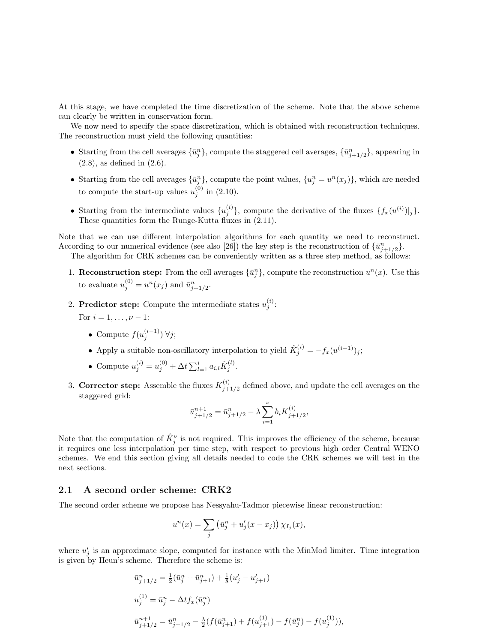At this stage, we have completed the time discretization of the scheme. Note that the above scheme can clearly be written in conservation form.

We now need to specify the space discretization, which is obtained with reconstruction techniques. The reconstruction must yield the following quantities:

- Starting from the cell averages  $\{\bar{u}_j^n\}$ , compute the staggered cell averages,  $\{\bar{u}_{j+1/2}^n\}$ , appearing in (2.8), as defined in (2.6).
- Starting from the cell averages  $\{\bar{u}_j^n\}$ , compute the point values,  $\{u_j^n = u^n(x_j)\}$ , which are needed to compute the start-up values  $u_j^{(0)}$  in (2.10).
- Starting from the intermediate values  $\{u_j^{(i)}\}$ , compute the derivative of the fluxes  $\{f_x(u^{(i)})|_j\}$ . These quantities form the Runge-Kutta fluxes in  $(2.11)$ .

Note that we can use different interpolation algorithms for each quantity we need to reconstruct. According to our numerical evidence (see also [26]) the key step is the reconstruction of  $\{\bar{u}_{j+1/2}^n\}$ .

The algorithm for CRK schemes can be conveniently written as a three step method, as follows:

- 1. **Reconstruction step:** From the cell averages  ${\bar{u}}_j^n$ , compute the reconstruction  $u^n(x)$ . Use this to evaluate  $u_j^{(0)} = u^n(x_j)$  and  $\bar{u}_{j+1/2}^n$ .
- 2. Predictor step: Compute the intermediate states  $u_j^{(i)}$ :

For  $i = 1, ..., \nu - 1$ :

- Compute  $f(u_j^{(i-1)}) \forall j$ ;
- Apply a suitable non-oscillatory interpolation to yield  $\hat{K}_j^{(i)} = -f_x(u^{(i-1)})_j;$
- Compute  $u_j^{(i)} = u_j^{(0)} + \Delta t \sum_{l=1}^i a_{i,l} \hat{K}_j^{(l)}$ .
- 3. Corrector step: Assemble the fluxes  $K_{i}^{(i)}$  $j_{j+1/2}^{(i)}$  defined above, and update the cell averages on the staggered grid:

$$
\bar{u}_{j+1/2}^{n+1} = \bar{u}_{j+1/2}^n - \lambda \sum_{i=1}^{\nu} b_i K_{j+1/2}^{(i)},
$$

Note that the computation of  $\hat{K}^{\nu}_{j}$  is not required. This improves the efficiency of the scheme, because it requires one less interpolation per time step, with respect to previous high order Central WENO schemes. We end this section giving all details needed to code the CRK schemes we will test in the next sections.

#### 2.1 A second order scheme: CRK2

The second order scheme we propose has Nessyahu-Tadmor piecewise linear reconstruction:

$$
u^{n}(x) = \sum_{j} \left(\bar{u}_{j}^{n} + u'_{j}(x - x_{j})\right) \chi_{I_{j}}(x),
$$

where  $u'_{j}$  is an approximate slope, computed for instance with the MinMod limiter. Time integration is given by Heun's scheme. Therefore the scheme is:

$$
\begin{array}{l} \bar{u}^n_{j+1/2} = \frac{1}{2}(\bar{u}^n_j + \bar{u}^n_{j+1}) + \frac{1}{8}(u'_j - u'_{j+1})\\ \\ u^{(1)}_j = \bar{u}^n_j - \Delta t f_x(\bar{u}^n_j)\\ \\ \bar{u}^{n+1}_{j+1/2} = \bar{u}^n_{j+1/2} - \frac{\lambda}{2}(f(\bar{u}^n_{j+1}) + f(u^{(1)}_{j+1}) - f(\bar{u}^n_j) - f(u^{(1)}_j)), \end{array}
$$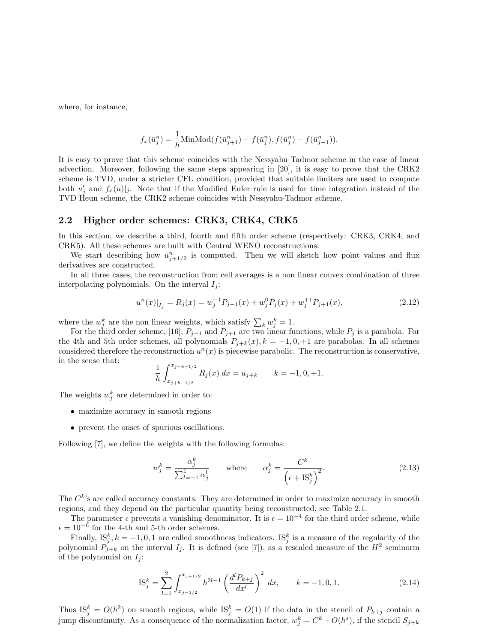where, for instance,

$$
f_x(\bar{u}_j^n) = \frac{1}{h} \text{MinMod}(f(\bar{u}_{j+1}^n) - f(\bar{u}_j^n), f(\bar{u}_j^n) - f(\bar{u}_{j-1}^n)).
$$

It is easy to prove that this scheme coincides with the Nessyahu Tadmor scheme in the case of linear advection. Moreover, following the same steps appearing in [20], it is easy to prove that the CRK2 scheme is TVD, under a stricter CFL condition, provided that suitable limiters are used to compute both  $u'_j$  and  $f_x(u)|_j$ . Note that if the Modified Euler rule is used for time integration instead of the TVD Heun scheme, the CRK2 scheme coincides with Nessyahu-Tadmor scheme.

#### 2.2 Higher order schemes: CRK3, CRK4, CRK5

In this section, we describe a third, fourth and fifth order scheme (respectively: CRK3, CRK4, and CRK5). All these schemes are built with Central WENO reconstructions.

We start describing how  $\bar{u}_{j+1/2}^n$  is computed. Then we will sketch how point values and flux derivatives are constructed.

In all three cases, the reconstruction from cell averages is a non linear convex combination of three interpolating polynomials. On the interval  $I_i$ :

$$
u^{n}(x)|_{I_{j}} = R_{j}(x) = w_{j}^{-1}P_{j-1}(x) + w_{j}^{0}P_{j}(x) + w_{j}^{+1}P_{j+1}(x),
$$
\n(2.12)

where the  $w_j^k$  are the non linear weights, which satisfy  $\sum_k w_j^k = 1$ .

For the third order scheme, [16],  $P_{j-1}$  and  $P_{j+1}$  are two linear functions, while  $P_j$  is a parabola. For the 4th and 5th order schemes, all polynomials  $P_{j+k}(x)$ ,  $k = -1, 0, +1$  are parabolas. In all schemes considered therefore the reconstruction  $u^n(x)$  is piecewise parabolic. The reconstruction is conservative, in the sense that:  $\int_0^x i+k+1/2$ 

$$
\frac{1}{h} \int_{x_{j+k-1/2}}^{x_{j+k+1/2}} R_j(x) \, dx = \bar{u}_{j+k} \qquad k = -1, 0, +1.
$$

The weights  $w_j^k$  are determined in order to:

- maximize accuracy in smooth regions
- prevent the onset of spurious oscillations.

Following [7], we define the weights with the following formulas:

$$
w_j^k = \frac{\alpha_j^k}{\sum_{l=-1}^1 \alpha_j^l} \qquad \text{where} \qquad \alpha_j^k = \frac{C^k}{\left(\epsilon + \text{IS}_j^k\right)^2}.\tag{2.13}
$$

The  $C^{k}$ 's are called accuracy constants. They are determined in order to maximize accuracy in smooth regions, and they depend on the particular quantity being reconstructed, see Table 2.1.

The parameter  $\epsilon$  prevents a vanishing denominator. It is  $\epsilon = 10^{-4}$  for the third order scheme, while  $\epsilon = 10^{-6}$  for the 4-th and 5-th order schemes.

Finally,  $\text{IS}_{j}^{k}$ ,  $k = -1, 0, 1$  are called smoothness indicators.  $\text{IS}_{j}^{k}$  is a measure of the regularity of the polynomial  $P_{j+k}$  on the interval  $I_j$ . It is defined (see [7]), as a rescaled measure of the  $H^2$  seminorm of the polynomial on  $I_i$ :

$$
IS_j^k = \sum_{l=1}^2 \int_{x_{j-1/2}}^{x_{j+1/2}} h^{2l-1} \left(\frac{d^l P_{k+j}}{dx^l}\right)^2 dx, \qquad k = -1, 0, 1.
$$
 (2.14)

Thus  $\mathrm{IS}_{j}^{k} = O(h^{2})$  on smooth regions, while  $\mathrm{IS}_{j}^{k} = O(1)$  if the data in the stencil of  $P_{k+j}$  contain a jump discontinuity. As a consequence of the normalization factor,  $w_j^k = C^k + O(h^s)$ , if the stencil  $S_{j+k}$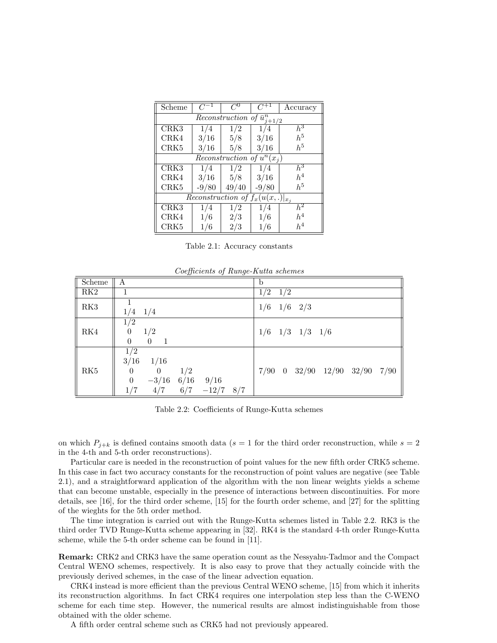| Scheme                                              | $C^{-1}$ | $C^0$ | $C^{+1}$ | Accuracy         |  |
|-----------------------------------------------------|----------|-------|----------|------------------|--|
| Reconstruction of $\bar{u}_i^n$<br>$i+1/2$          |          |       |          |                  |  |
| CRK3                                                | 1/4      | 1/2   | 1/4      | $\overline{h^3}$ |  |
| CRK4                                                | 3/16     | 5/8   | 3/16     | $h^5$            |  |
| CRK5                                                | 3/16     | 5/8   | 3/16     | $h^5$            |  |
| $\overline{Reconstruction}$ of $u^n(x_i)$           |          |       |          |                  |  |
| CRK3                                                | 1/4      | 1/2   | 1/4      | $\bar{h}^3$      |  |
| CRK4                                                | 3/16     | 5/8   | 3/16     | $h^4$            |  |
| CRK5                                                | $-9/80$  | 49/40 | $-9/80$  | $h^5$            |  |
| $\overline{Reconstruction}$ of $f_x(u(x,.) _{x_i})$ |          |       |          |                  |  |
| CRK3                                                | 1/4      | 1/2   | 1/4      | h <sup>2</sup>   |  |
| CRK4                                                | 1/6      | 2/3   | 1/6      | $h^4$            |  |
| CRK5                                                | 1/6      | 2/3   | 1/6      | $h^4$            |  |

Table 2.1: Accuracy constants

| Scheme                  | Α                                                                                                                                                 | b                                       |
|-------------------------|---------------------------------------------------------------------------------------------------------------------------------------------------|-----------------------------------------|
| RK2                     |                                                                                                                                                   | 1/2<br>1/2                              |
| RK3                     | $1/4$ $1/4$                                                                                                                                       | 1/6<br>$1/6$ 2/3                        |
| RK4                     | 1/2<br>1/2<br>$\boldsymbol{0}$<br>$\theta$<br>$\overline{1}$<br>$\Omega$                                                                          | $1/6$ $1/3$ $1/3$ $1/6$                 |
| $\mathbf{R}\mathbf{K}5$ | 1/2<br>1/16<br>3/16<br>1/2<br>$\overline{0}$<br>$\overline{0}$<br>$\boldsymbol{0}$<br>$-3/16$<br>6/16<br>9/16<br>$-12/7$ 8/7<br>6/7<br>1/7<br>4/7 | $7/90$ 0 $32/90$ $12/90$ $32/90$ $7/90$ |

Coefficients of Runge-Kutta schemes

Table 2.2: Coefficients of Runge-Kutta schemes

on which  $P_{j+k}$  is defined contains smooth data ( $s=1$  for the third order reconstruction, while  $s=2$ in the 4-th and 5-th order reconstructions).

Particular care is needed in the reconstruction of point values for the new fifth order CRK5 scheme. In this case in fact two accuracy constants for the reconstruction of point values are negative (see Table 2.1), and a straightforward application of the algorithm with the non linear weights yields a scheme that can become unstable, especially in the presence of interactions between discontinuities. For more details, see [16], for the third order scheme, [15] for the fourth order scheme, and [27] for the splitting of the wieghts for the 5th order method.

The time integration is carried out with the Runge-Kutta schemes listed in Table 2.2. RK3 is the third order TVD Runge-Kutta scheme appearing in [32]. RK4 is the standard 4-th order Runge-Kutta scheme, while the 5-th order scheme can be found in [11].

Remark: CRK2 and CRK3 have the same operation count as the Nessyahu-Tadmor and the Compact Central WENO schemes, respectively. It is also easy to prove that they actually coincide with the previously derived schemes, in the case of the linear advection equation.

CRK4 instead is more efficient than the previous Central WENO scheme, [15] from which it inherits its reconstruction algorithms. In fact CRK4 requires one interpolation step less than the C-WENO scheme for each time step. However, the numerical results are almost indistinguishable from those obtained with the older scheme.

A fifth order central scheme such as CRK5 had not previously appeared.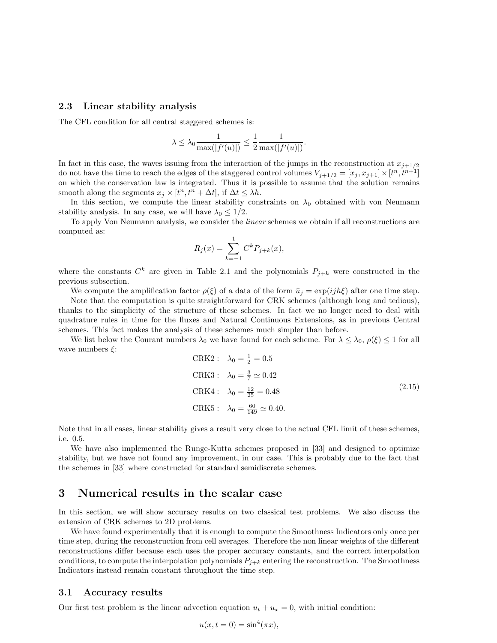#### 2.3 Linear stability analysis

The CFL condition for all central staggered schemes is:

$$
\lambda \leq \lambda_0 \frac{1}{\max(|f'(u)|)} \leq \frac{1}{2} \frac{1}{\max(|f'(u)|)}.
$$

In fact in this case, the waves issuing from the interaction of the jumps in the reconstruction at  $x_{j+1/2}$ do not have the time to reach the edges of the staggered control volumes  $V_{j+1/2} = [x_j, x_{j+1}] \times [t^n, t^{n+1}]$ on which the conservation law is integrated. Thus it is possible to assume that the solution remains smooth along the segments  $x_j \times [t^n, t^n + \Delta t]$ , if  $\Delta t \leq \lambda h$ .

In this section, we compute the linear stability constraints on  $\lambda_0$  obtained with von Neumann stability analysis. In any case, we will have  $\lambda_0 \leq 1/2$ .

To apply Von Neumann analysis, we consider the linear schemes we obtain if all reconstructions are computed as:

$$
R_j(x) = \sum_{k=-1}^{1} C^k P_{j+k}(x),
$$

where the constants  $C^k$  are given in Table 2.1 and the polynomials  $P_{j+k}$  were constructed in the previous subsection.

We compute the amplification factor  $\rho(\xi)$  of a data of the form  $\bar{u}_i = \exp(i j h \xi)$  after one time step.

Note that the computation is quite straightforward for CRK schemes (although long and tedious), thanks to the simplicity of the structure of these schemes. In fact we no longer need to deal with quadrature rules in time for the fluxes and Natural Continuous Extensions, as in previous Central schemes. This fact makes the analysis of these schemes much simpler than before.

We list below the Courant numbers  $\lambda_0$  we have found for each scheme. For  $\lambda \leq \lambda_0$ ,  $\rho(\xi) \leq 1$  for all wave numbers  $\xi$ :

$$
CRK2: \lambda_0 = \frac{1}{2} = 0.5
$$
  
\n
$$
CRK3: \lambda_0 = \frac{3}{7} \approx 0.42
$$
  
\n
$$
CRK4: \lambda_0 = \frac{12}{25} = 0.48
$$
  
\n
$$
CRK5: \lambda_0 = \frac{60}{149} \approx 0.40.
$$
\n(2.15)

Note that in all cases, linear stability gives a result very close to the actual CFL limit of these schemes, i.e. 0.5.

We have also implemented the Runge-Kutta schemes proposed in [33] and designed to optimize stability, but we have not found any improvement, in our case. This is probably due to the fact that the schemes in [33] where constructed for standard semidiscrete schemes.

### 3 Numerical results in the scalar case

In this section, we will show accuracy results on two classical test problems. We also discuss the extension of CRK schemes to 2D problems.

We have found experimentally that it is enough to compute the Smoothness Indicators only once per time step, during the reconstruction from cell averages. Therefore the non linear weights of the different reconstructions differ because each uses the proper accuracy constants, and the correct interpolation conditions, to compute the interpolation polynomials  $P_{j+k}$  entering the reconstruction. The Smoothness Indicators instead remain constant throughout the time step.

#### 3.1 Accuracy results

Our first test problem is the linear advection equation  $u_t + u_x = 0$ , with initial condition:

$$
u(x, t = 0) = \sin^4(\pi x),
$$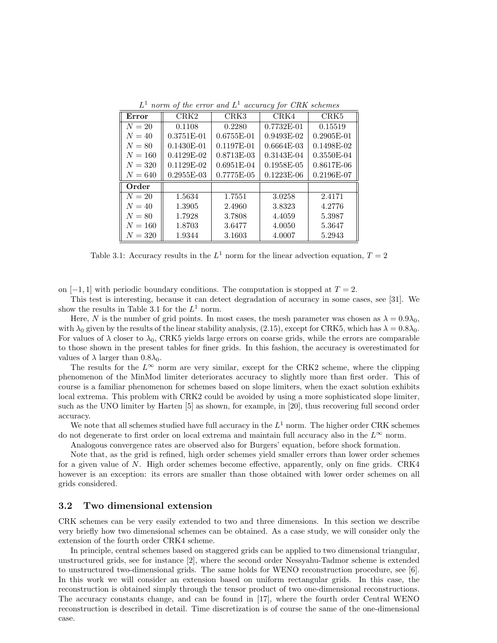| $L^1$ norm of the error and $L^1$ accuracy for CRK schemes |
|------------------------------------------------------------|
|------------------------------------------------------------|

| Error     | CRK <sub>2</sub> | CRK3         | CRK4         | CRK5         |
|-----------|------------------|--------------|--------------|--------------|
| $N=20$    | 0.1108           | 0.2280       | $0.7732E-01$ | 0.15519      |
| $N=40$    | 0.3751E-01       | 0.6755E-01   | $0.9493E-02$ | $0.2905E-01$ |
| $N = 80$  | $0.1430E-01$     | 0.1197E-01   | $0.6664E-03$ | $0.1498E-02$ |
| $N = 160$ | $0.4129E-02$     | 0.8713E-03   | 0.3143E-04   | 0.3550E-04   |
| $N = 320$ | $0.1129E-02$     | $0.6951E-04$ | 0.1958E-05   | 0.8617E-06   |
| $N = 640$ | $0.2955E-03$     | 0.7775E-05   | $0.1223E-06$ | 0.2196E-07   |
| Order     |                  |              |              |              |
| $N=20$    | 1.5634           | 1.7551       | 3.0258       | 2.4171       |
| $N=40$    | 1.3905           | 2.4960       | 3.8323       | 4.2776       |
| $N = 80$  | 1.7928           | 3.7808       | 4.4059       | 5.3987       |
| $N = 160$ | 1.8703           | 3.6477       | 4.0050       | 5.3647       |
| $N=320$   | 1.9344           | 3.1603       | 4.0007       | 5.2943       |

Table 3.1: Accuracy results in the  $L^1$  norm for the linear advection equation,  $T = 2$ 

on  $[-1, 1]$  with periodic boundary conditions. The computation is stopped at  $T = 2$ .

This test is interesting, because it can detect degradation of accuracy in some cases, see [31]. We show the results in Table 3.1 for the  $L^1$  norm.

Here, N is the number of grid points. In most cases, the mesh parameter was chosen as  $\lambda = 0.9\lambda_0$ , with  $\lambda_0$  given by the results of the linear stability analysis, (2.15), except for CRK5, which has  $\lambda = 0.8\lambda_0$ . For values of  $\lambda$  closer to  $\lambda_0$ , CRK5 yields large errors on coarse grids, while the errors are comparable to those shown in the present tables for finer grids. In this fashion, the accuracy is overestimated for values of  $\lambda$  larger than  $0.8\lambda_0$ .

The results for the  $L^{\infty}$  norm are very similar, except for the CRK2 scheme, where the clipping phenomenon of the MinMod limiter deteriorates accuracy to slightly more than first order. This of course is a familiar phenomenon for schemes based on slope limiters, when the exact solution exhibits local extrema. This problem with CRK2 could be avoided by using a more sophisticated slope limiter, such as the UNO limiter by Harten [5] as shown, for example, in [20], thus recovering full second order accuracy.

We note that all schemes studied have full accuracy in the  $L^1$  norm. The higher order CRK schemes do not degenerate to first order on local extrema and maintain full accuracy also in the  $L^{\infty}$  norm.

Analogous convergence rates are observed also for Burgers' equation, before shock formation.

Note that, as the grid is refined, high order schemes yield smaller errors than lower order schemes for a given value of N. High order schemes become effective, apparently, only on fine grids. CRK4 however is an exception: its errors are smaller than those obtained with lower order schemes on all grids considered.

#### 3.2 Two dimensional extension

CRK schemes can be very easily extended to two and three dimensions. In this section we describe very briefly how two dimensional schemes can be obtained. As a case study, we will consider only the extension of the fourth order CRK4 scheme.

In principle, central schemes based on staggered grids can be applied to two dimensional triangular, unstructured grids, see for instance [2], where the second order Nessyahu-Tadmor scheme is extended to unstructured two-dimensional grids. The same holds for WENO reconstruction procedure, see [6]. In this work we will consider an extension based on uniform rectangular grids. In this case, the reconstruction is obtained simply through the tensor product of two one-dimensional reconstructions. The accuracy constants change, and can be found in [17], where the fourth order Central WENO reconstruction is described in detail. Time discretization is of course the same of the one-dimensional case.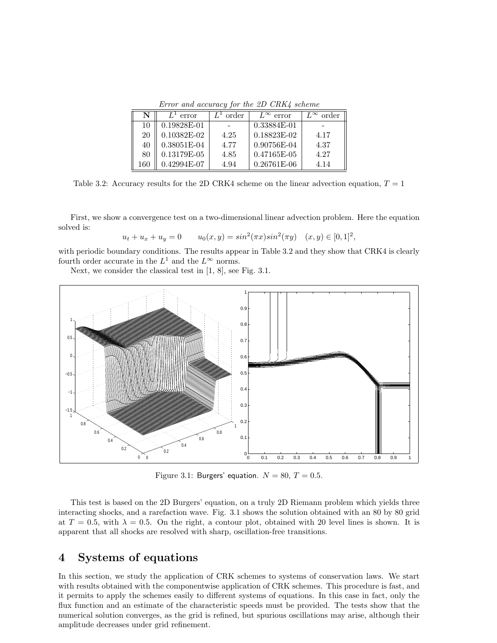Error and accuracy for the 2D CRK4 scheme

| N   | $L^1$ error   | order | $L^{\infty}$ error | order |
|-----|---------------|-------|--------------------|-------|
| 10  | 0.19828E-01   |       | 0.33884E-01        |       |
| 20  | $0.10382E-02$ | 4.25  | 0.18823E-02        | 4.17  |
| 40  | $0.38051E-04$ | 4.77  | 0.90756E-04        | 4.37  |
| 80  | 0.13179E-05   | 4.85  | $0.47165E-05$      | 4.27  |
| 160 | 0.42994E-07   | 4.94  | $0.26761E-06$      | 4.14  |

Table 3.2: Accuracy results for the 2D CRK4 scheme on the linear advection equation,  $T = 1$ 

First, we show a convergence test on a two-dimensional linear advection problem. Here the equation solved is:

$$
u_t + u_x + u_y = 0 \t u_0(x, y) = \sin^2(\pi x)\sin^2(\pi y) \quad (x, y) \in [0, 1]^2,
$$

with periodic boundary conditions. The results appear in Table 3.2 and they show that CRK4 is clearly fourth order accurate in the  $L^1$  and the  $L^{\infty}$  norms.

Next, we consider the classical test in [1, 8], see Fig. 3.1.



Figure 3.1: Burgers' equation.  $N = 80$ ,  $T = 0.5$ .

This test is based on the 2D Burgers' equation, on a truly 2D Riemann problem which yields three interacting shocks, and a rarefaction wave. Fig. 3.1 shows the solution obtained with an 80 by 80 grid at  $T = 0.5$ , with  $\lambda = 0.5$ . On the right, a contour plot, obtained with 20 level lines is shown. It is apparent that all shocks are resolved with sharp, oscillation-free transitions.

# 4 Systems of equations

In this section, we study the application of CRK schemes to systems of conservation laws. We start with results obtained with the componentwise application of CRK schemes. This procedure is fast, and it permits to apply the schemes easily to different systems of equations. In this case in fact, only the flux function and an estimate of the characteristic speeds must be provided. The tests show that the numerical solution converges, as the grid is refined, but spurious oscillations may arise, although their amplitude decreases under grid refinement.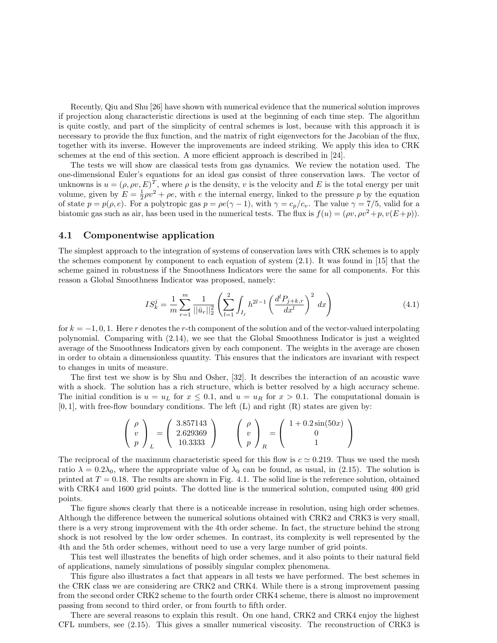Recently, Qiu and Shu [26] have shown with numerical evidence that the numerical solution improves if projection along characteristic directions is used at the beginning of each time step. The algorithm is quite costly, and part of the simplicity of central schemes is lost, because with this approach it is necessary to provide the flux function, and the matrix of right eigenvectors for the Jacobian of the flux, together with its inverse. However the improvements are indeed striking. We apply this idea to CRK schemes at the end of this section. A more efficient approach is described in [24].

The tests we will show are classical tests from gas dynamics. We review the notation used. The one-dimensional Euler's equations for an ideal gas consist of three conservation laws. The vector of unknowns is  $u = (\rho, \rho v, E)^T$ , where  $\rho$  is the density, v is the velocity and E is the total energy per unit volume, given by  $E = \frac{1}{2}\rho v^2 + \rho e$ , with e the internal energy, linked to the pressure p by the equation of state  $p = p(\rho, e)$ . For a polytropic gas  $p = \rho e(\gamma - 1)$ , with  $\gamma = c_p/c_v$ . The value  $\gamma = 7/5$ , valid for a biatomic gas such as air, has been used in the numerical tests. The flux is  $f(u) = (\rho v, \rho v^2 + p, v(E+p)).$ 

#### 4.1 Componentwise application

The simplest approach to the integration of systems of conservation laws with CRK schemes is to apply the schemes component by component to each equation of system (2.1). It was found in [15] that the scheme gained in robustness if the Smoothness Indicators were the same for all components. For this reason a Global Smoothness Indicator was proposed, namely:

$$
IS_k^j = \frac{1}{m} \sum_{r=1}^m \frac{1}{||\bar{u}_r||_2^2} \left( \sum_{l=1}^2 \int_{I_j} h^{2l-1} \left( \frac{d^l P_{j+k,r}}{dx^l} \right)^2 dx \right)
$$
(4.1)

for  $k = -1, 0, 1$ . Here r denotes the r-th component of the solution and of the vector-valued interpolating polynomial. Comparing with (2.14), we see that the Global Smoothness Indicator is just a weighted average of the Smoothness Indicators given by each component. The weights in the average are chosen in order to obtain a dimensionless quantity. This ensures that the indicators are invariant with respect to changes in units of measure.

The first test we show is by Shu and Osher, [32]. It describes the interaction of an acoustic wave with a shock. The solution has a rich structure, which is better resolved by a high accuracy scheme. The initial condition is  $u = u_L$  for  $x \le 0.1$ , and  $u = u_R$  for  $x > 0.1$ . The computational domain is  $[0, 1]$ , with free-flow boundary conditions. The left  $(L)$  and right  $(R)$  states are given by:

$$
\begin{pmatrix}\n\rho \\
v \\
p\n\end{pmatrix}_L = \begin{pmatrix}\n3.857143 \\
2.629369 \\
10.3333\n\end{pmatrix} \qquad \begin{pmatrix}\n\rho \\
v \\
p\n\end{pmatrix}_R = \begin{pmatrix}\n1 + 0.2\sin(50x) \\
0 \\
1\n\end{pmatrix}
$$

The reciprocal of the maximum characteristic speed for this flow is  $c \approx 0.219$ . Thus we used the mesh ratio  $\lambda = 0.2\lambda_0$ , where the appropriate value of  $\lambda_0$  can be found, as usual, in (2.15). The solution is printed at  $T = 0.18$ . The results are shown in Fig. 4.1. The solid line is the reference solution, obtained with CRK4 and 1600 grid points. The dotted line is the numerical solution, computed using 400 grid points.

The figure shows clearly that there is a noticeable increase in resolution, using high order schemes. Although the difference between the numerical solutions obtained with CRK2 and CRK3 is very small, there is a very strong improvement with the 4th order scheme. In fact, the structure behind the strong shock is not resolved by the low order schemes. In contrast, its complexity is well represented by the 4th and the 5th order schemes, without need to use a very large number of grid points.

This test well illustrates the benefits of high order schemes, and it also points to their natural field of applications, namely simulations of possibly singular complex phenomena.

This figure also illustrates a fact that appears in all tests we have performed. The best schemes in the CRK class we are considering are CRK2 and CRK4. While there is a strong improvement passing from the second order CRK2 scheme to the fourth order CRK4 scheme, there is almost no improvement passing from second to third order, or from fourth to fifth order.

There are several reasons to explain this result. On one hand, CRK2 and CRK4 enjoy the highest CFL numbers, see (2.15). This gives a smaller numerical viscosity. The reconstruction of CRK3 is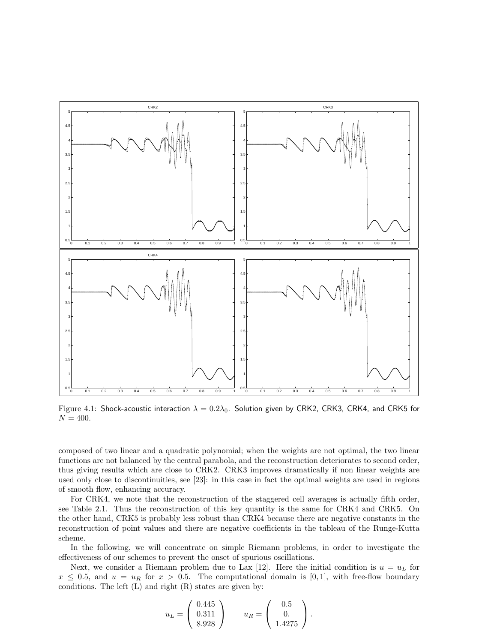

Figure 4.1: Shock-acoustic interaction  $\lambda = 0.2\lambda_0$ . Solution given by CRK2, CRK3, CRK4, and CRK5 for  $N = 400.$ 

composed of two linear and a quadratic polynomial; when the weights are not optimal, the two linear functions are not balanced by the central parabola, and the reconstruction deteriorates to second order, thus giving results which are close to CRK2. CRK3 improves dramatically if non linear weights are used only close to discontinuities, see [23]: in this case in fact the optimal weights are used in regions of smooth flow, enhancing accuracy.

For CRK4, we note that the reconstruction of the staggered cell averages is actually fifth order, see Table 2.1. Thus the reconstruction of this key quantity is the same for CRK4 and CRK5. On the other hand, CRK5 is probably less robust than CRK4 because there are negative constants in the reconstruction of point values and there are negative coefficients in the tableau of the Runge-Kutta scheme.

In the following, we will concentrate on simple Riemann problems, in order to investigate the effectiveness of our schemes to prevent the onset of spurious oscillations.

Next, we consider a Riemann problem due to Lax [12]. Here the initial condition is  $u = u<sub>L</sub>$  for  $x \leq 0.5$ , and  $u = u_R$  for  $x > 0.5$ . The computational domain is [0,1], with free-flow boundary conditions. The left  $(L)$  and right  $(R)$  states are given by:

$$
u_L = \left(\begin{array}{c} 0.445 \\ 0.311 \\ 8.928 \end{array}\right) \qquad u_R = \left(\begin{array}{c} 0.5 \\ 0. \\ 1.4275 \end{array}\right).
$$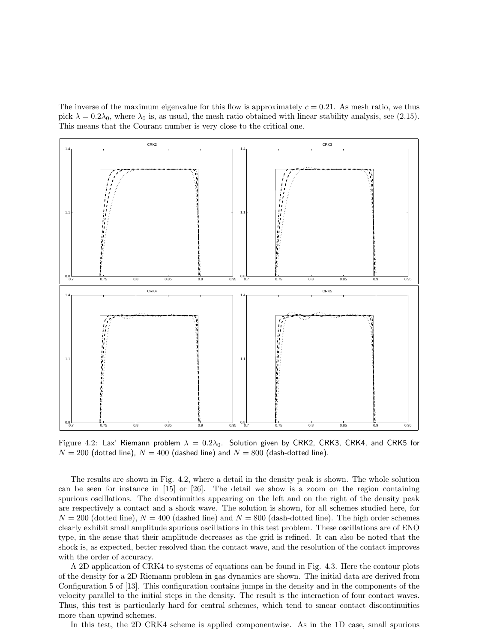The inverse of the maximum eigenvalue for this flow is approximately  $c = 0.21$ . As mesh ratio, we thus pick  $\lambda = 0.2\lambda_0$ , where  $\lambda_0$  is, as usual, the mesh ratio obtained with linear stability analysis, see (2.15). This means that the Courant number is very close to the critical one.



Figure 4.2: Lax' Riemann problem  $\lambda = 0.2\lambda_0$ . Solution given by CRK2, CRK3, CRK4, and CRK5 for  $N = 200$  (dotted line),  $N = 400$  (dashed line) and  $N = 800$  (dash-dotted line).

The results are shown in Fig. 4.2, where a detail in the density peak is shown. The whole solution can be seen for instance in [15] or [26]. The detail we show is a zoom on the region containing spurious oscillations. The discontinuities appearing on the left and on the right of the density peak are respectively a contact and a shock wave. The solution is shown, for all schemes studied here, for  $N = 200$  (dotted line),  $N = 400$  (dashed line) and  $N = 800$  (dash-dotted line). The high order schemes clearly exhibit small amplitude spurious oscillations in this test problem. These oscillations are of ENO type, in the sense that their amplitude decreases as the grid is refined. It can also be noted that the shock is, as expected, better resolved than the contact wave, and the resolution of the contact improves with the order of accuracy.

A 2D application of CRK4 to systems of equations can be found in Fig. 4.3. Here the contour plots of the density for a 2D Riemann problem in gas dynamics are shown. The initial data are derived from Configuration 5 of [13]. This configuration contains jumps in the density and in the components of the velocity parallel to the initial steps in the density. The result is the interaction of four contact waves. Thus, this test is particularly hard for central schemes, which tend to smear contact discontinuities more than upwind schemes.

In this test, the 2D CRK4 scheme is applied componentwise. As in the 1D case, small spurious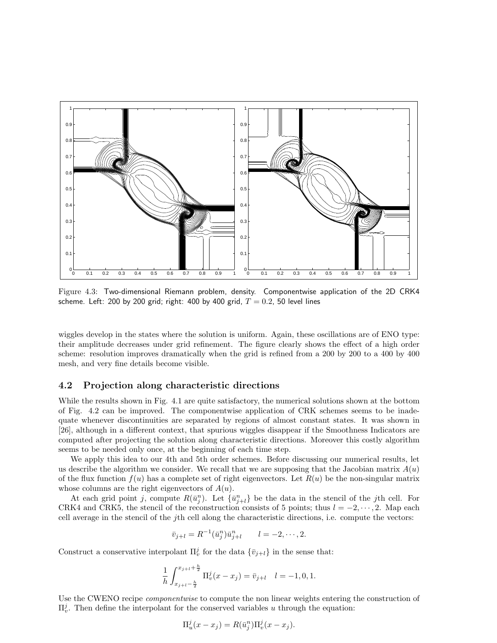

Figure 4.3: Two-dimensional Riemann problem, density. Componentwise application of the 2D CRK4 scheme. Left: 200 by 200 grid; right: 400 by 400 grid,  $T = 0.2$ , 50 level lines

wiggles develop in the states where the solution is uniform. Again, these oscillations are of ENO type: their amplitude decreases under grid refinement. The figure clearly shows the effect of a high order scheme: resolution improves dramatically when the grid is refined from a 200 by 200 to a 400 by 400 mesh, and very fine details become visible.

#### 4.2 Projection along characteristic directions

While the results shown in Fig. 4.1 are quite satisfactory, the numerical solutions shown at the bottom of Fig. 4.2 can be improved. The componentwise application of CRK schemes seems to be inadequate whenever discontinuities are separated by regions of almost constant states. It was shown in [26], although in a different context, that spurious wiggles disappear if the Smoothness Indicators are computed after projecting the solution along characteristic directions. Moreover this costly algorithm seems to be needed only once, at the beginning of each time step.

We apply this idea to our 4th and 5th order schemes. Before discussing our numerical results, let us describe the algorithm we consider. We recall that we are supposing that the Jacobian matrix  $A(u)$ of the flux function  $f(u)$  has a complete set of right eigenvectors. Let  $R(u)$  be the non-singular matrix whose columns are the right eigenvectors of  $A(u)$ .

At each grid point j, compute  $R(\bar{u}_j^n)$ . Let  $\{\bar{u}_{j+l}^n\}$  be the data in the stencil of the jth cell. For CRK4 and CRK5, the stencil of the reconstruction consists of 5 points; thus  $l = -2, \dots, 2$ . Map each cell average in the stencil of the jth cell along the characteristic directions, i.e. compute the vectors:

$$
\bar{v}_{j+l} = R^{-1}(\bar{u}_j^n)\bar{u}_{j+l}^n \qquad l = -2, \cdots, 2.
$$

Construct a conservative interpolant  $\Pi_v^j$  for the data  $\{\bar{v}_{j+l}\}\$ in the sense that:

$$
\frac{1}{h} \int_{x_{j+l} - \frac{h}{2}}^{x_{j+l} + \frac{h}{2}} \Pi_v^j(x - x_j) = \bar{v}_{j+l} \quad l = -1, 0, 1.
$$

Use the CWENO recipe *componentwise* to compute the non linear weights entering the construction of  $\Pi_v^j$ . Then define the interpolant for the conserved variables u through the equation:

$$
\Pi_u^j(x - x_j) = R(\bar{u}_j^n)\Pi_v^j(x - x_j).
$$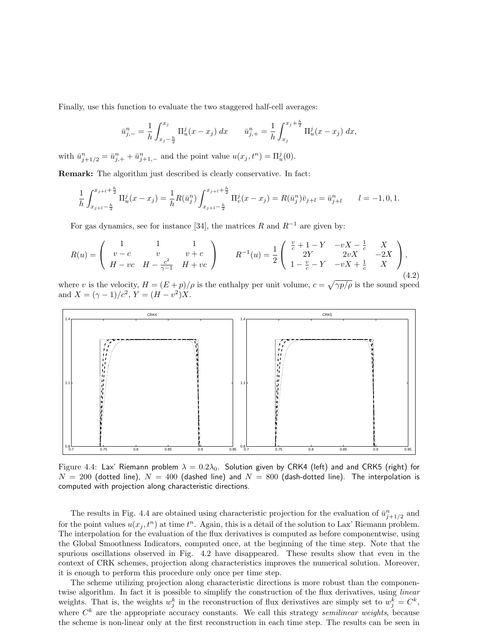Finally, use this function to evaluate the two staggered half-cell averages:

$$
\bar{u}_{j,-}^n = \frac{1}{h} \int_{x_j - \frac{h}{2}}^{x_j} \Pi_u^j(x - x_j) \, dx \qquad \bar{u}_{j,+}^n = \frac{1}{h} \int_{x_j}^{x_j + \frac{h}{2}} \Pi_u^j(x - x_j) \, dx,
$$

with  $\bar{u}_{j+1/2}^n = \bar{u}_{j,+}^n + \bar{u}_{j+1,-}^n$  and the point value  $u(x_j, t^n) = \Pi_u^j(0)$ .

Remark: The algorithm just described is clearly conservative. In fact:

$$
\frac{1}{h} \int_{x_{j+l} - \frac{h}{2}}^{x_{j+l} + \frac{h}{2}} \Pi_u^j(x - x_j) = \frac{1}{h} R(\bar{u}_j^n) \int_{x_{j+l} - \frac{h}{2}}^{x_{j+l} + \frac{h}{2}} \Pi_v^j(x - x_j) = R(\bar{u}_j^n) \bar{v}_{j+l} = \bar{u}_{j+l}^n \qquad l = -1, 0, 1.
$$

For gas dynamics, see for instance [34], the matrices R and  $R^{-1}$  are given by:

$$
R(u) = \begin{pmatrix} 1 & 1 & 1 \\ v - c & v & v + c \\ H - vc & H - \frac{c^2}{\gamma - 1} & H + vc \end{pmatrix} \qquad R^{-1}(u) = \frac{1}{2} \begin{pmatrix} \frac{v}{c} + 1 - Y & -vX - \frac{1}{c} & X \\ 2Y & 2vX & -2X \\ 1 - \frac{v}{c} - Y & -vX + \frac{1}{c} & X \end{pmatrix},
$$
\n(4.2)

where v is the velocity,  $H = (E + p)/\rho$  is the enthalpy per unit volume,  $c =$  $\gamma p/\rho$  is the sound speed and  $X = (\gamma - 1)/c^2$ ,  $Y = (H - v^2)X$ .



Figure 4.4: Lax' Riemann problem  $\lambda = 0.2\lambda_0$ . Solution given by CRK4 (left) and and CRK5 (right) for  $N = 200$  (dotted line),  $N = 400$  (dashed line) and  $N = 800$  (dash-dotted line). The interpolation is computed with projection along characteristic directions.

The results in Fig. 4.4 are obtained using characteristic projection for the evaluation of  $\bar{u}_{j+1/2}^n$  and for the point values  $u(x_j, t^n)$  at time  $t^n$ . Again, this is a detail of the solution to Lax' Riemann problem. The interpolation for the evaluation of the flux derivatives is computed as before componentwise, using the Global Smoothness Indicators, computed once, at the beginning of the time step. Note that the spurious oscillations observed in Fig. 4.2 have disappeared. These results show that even in the context of CRK schemes, projection along characteristics improves the numerical solution. Moreover, it is enough to perform this procedure only once per time step.

The scheme utilizing projection along characteristic directions is more robust than the componentwise algorithm. In fact it is possible to simplify the construction of the flux derivatives, using *linear* weights. That is, the weights  $w_j^k$  in the reconstruction of flux derivatives are simply set to  $w_j^k = C^k$ , where  $C^k$  are the appropriate accuracy constants. We call this strategy semilinear weights, because the scheme is non-linear only at the first reconstruction in each time step. The results can be seen in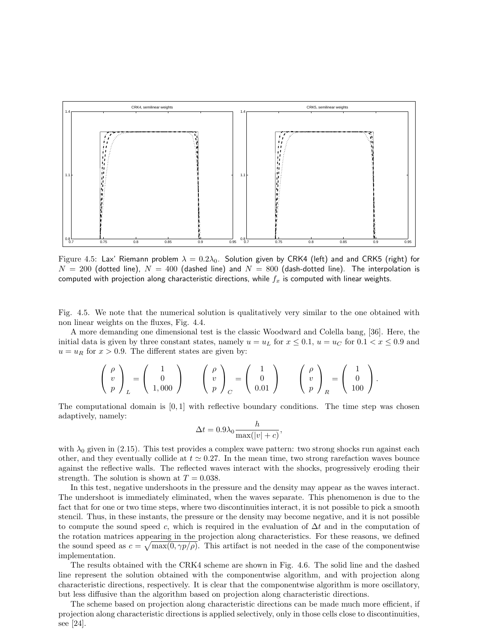

Figure 4.5: Lax' Riemann problem  $\lambda = 0.2\lambda_0$ . Solution given by CRK4 (left) and and CRK5 (right) for  $N = 200$  (dotted line),  $N = 400$  (dashed line) and  $N = 800$  (dash-dotted line). The interpolation is computed with projection along characteristic directions, while  $f_x$  is computed with linear weights.

Fig. 4.5. We note that the numerical solution is qualitatively very similar to the one obtained with non linear weights on the fluxes, Fig. 4.4.

A more demanding one dimensional test is the classic Woodward and Colella bang, [36]. Here, the initial data is given by three constant states, namely  $u = u_L$  for  $x \le 0.1$ ,  $u = u_C$  for  $0.1 < x \le 0.9$  and  $u = u_R$  for  $x > 0.9$ . The different states are given by:

$$
\left(\begin{array}{c} \rho \\ v \\ p \end{array}\right)_L = \left(\begin{array}{c} 1 \\ 0 \\ 1,000 \end{array}\right) \qquad \left(\begin{array}{c} \rho \\ v \\ p \end{array}\right)_C = \left(\begin{array}{c} 1 \\ 0 \\ 0.01 \end{array}\right) \qquad \left(\begin{array}{c} \rho \\ v \\ p \end{array}\right)_R = \left(\begin{array}{c} 1 \\ 0 \\ 100 \end{array}\right).
$$

The computational domain is  $[0, 1]$  with reflective boundary conditions. The time step was chosen adaptively, namely:

$$
\Delta t = 0.9\lambda_0 \frac{h}{\max(|v|+c)},
$$

with  $\lambda_0$  given in (2.15). This test provides a complex wave pattern: two strong shocks run against each other, and they eventually collide at  $t \approx 0.27$ . In the mean time, two strong rarefaction waves bounce against the reflective walls. The reflected waves interact with the shocks, progressively eroding their strength. The solution is shown at  $T = 0.038$ .

In this test, negative undershoots in the pressure and the density may appear as the waves interact. The undershoot is immediately eliminated, when the waves separate. This phenomenon is due to the fact that for one or two time steps, where two discontinuities interact, it is not possible to pick a smooth stencil. Thus, in these instants, the pressure or the density may become negative, and it is not possible to compute the sound speed c, which is required in the evaluation of  $\Delta t$  and in the computation of the rotation matrices appearing in the projection along characteristics. For these reasons, we defined the sound speed as  $c = \sqrt{\max(0, \gamma p/\rho)}$ . This artifact is not needed in the case of the componentwise implementation.

The results obtained with the CRK4 scheme are shown in Fig. 4.6. The solid line and the dashed line represent the solution obtained with the componentwise algorithm, and with projection along characteristic directions, respectively. It is clear that the componentwise algorithm is more oscillatory, but less diffusive than the algorithm based on projection along characteristic directions.

The scheme based on projection along characteristic directions can be made much more efficient, if projection along characteristic directions is applied selectively, only in those cells close to discontinuities, see [24].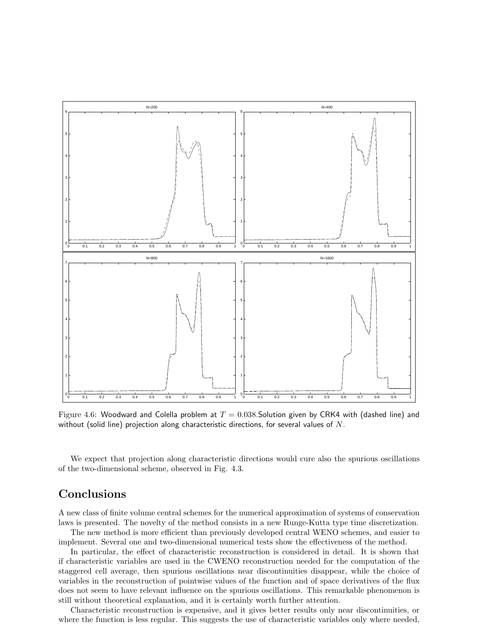

Figure 4.6: Woodward and Colella problem at  $T = 0.038$ . Solution given by CRK4 with (dashed line) and without (solid line) projection along characteristic directions, for several values of  $N$ .

We expect that projection along characteristic directions would cure also the spurious oscillations of the two-dimensional scheme, observed in Fig. 4.3.

# **Conclusions**

A new class of finite volume central schemes for the numerical approximation of systems of conservation laws is presented. The novelty of the method consists in a new Runge-Kutta type time discretization.

The new method is more efficient than previously developed central WENO schemes, and easier to implement. Several one and two-dimensional numerical tests show the effectiveness of the method.

In particular, the effect of characteristic reconstruction is considered in detail. It is shown that if characteristic variables are used in the CWENO reconstruction needed for the computation of the staggered cell average, then spurious oscillations near discontinuities disappear, while the choice of variables in the reconstruction of pointwise values of the function and of space derivatives of the flux does not seem to have relevant influence on the spurious oscillations. This remarkable phenomenon is still without theoretical explanation, and it is certainly worth further attention.

Characteristic reconstruction is expensive, and it gives better results only near discontinuities, or where the function is less regular. This suggests the use of characteristic variables only where needed,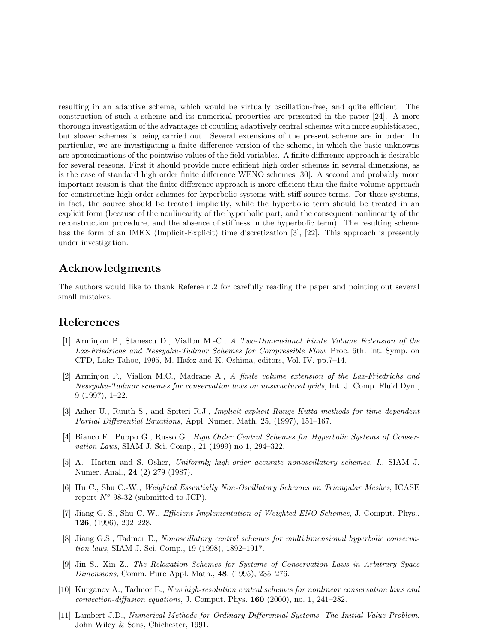resulting in an adaptive scheme, which would be virtually oscillation-free, and quite efficient. The construction of such a scheme and its numerical properties are presented in the paper [24]. A more thorough investigation of the advantages of coupling adaptively central schemes with more sophisticated, but slower schemes is being carried out. Several extensions of the present scheme are in order. In particular, we are investigating a finite difference version of the scheme, in which the basic unknowns are approximations of the pointwise values of the field variables. A finite difference approach is desirable for several reasons. First it should provide more efficient high order schemes in several dimensions, as is the case of standard high order finite difference WENO schemes [30]. A second and probably more important reason is that the finite difference approach is more efficient than the finite volume approach for constructing high order schemes for hyperbolic systems with stiff source terms. For these systems, in fact, the source should be treated implicitly, while the hyperbolic term should be treated in an explicit form (because of the nonlinearity of the hyperbolic part, and the consequent nonlinearity of the reconstruction procedure, and the absence of stiffness in the hyperbolic term). The resulting scheme has the form of an IMEX (Implicit-Explicit) time discretization [3], [22]. This approach is presently under investigation.

# Acknowledgments

The authors would like to thank Referee n.2 for carefully reading the paper and pointing out several small mistakes.

### References

- [1] Arminjon P., Stanescu D., Viallon M.-C., A Two-Dimensional Finite Volume Extension of the Lax-Friedrichs and Nessyahu-Tadmor Schemes for Compressible Flow, Proc. 6th. Int. Symp. on CFD, Lake Tahoe, 1995, M. Hafez and K. Oshima, editors, Vol. IV, pp.7–14.
- [2] Arminjon P., Viallon M.C., Madrane A., A finite volume extension of the Lax-Friedrichs and Nessyahu-Tadmor schemes for conservation laws on unstructured grids, Int. J. Comp. Fluid Dyn., 9 (1997), 1–22.
- [3] Asher U., Ruuth S., and Spiteri R.J., Implicit-explicit Runge-Kutta methods for time dependent Partial Differential Equations, Appl. Numer. Math. 25, (1997), 151–167.
- [4] Bianco F., Puppo G., Russo G., High Order Central Schemes for Hyperbolic Systems of Conservation Laws, SIAM J. Sci. Comp., 21 (1999) no 1, 294–322.
- [5] A. Harten and S. Osher, Uniformly high-order accurate nonoscillatory schemes. I., SIAM J. Numer. Anal., 24 (2) 279 (1987).
- [6] Hu C., Shu C.-W., Weighted Essentially Non-Oscillatory Schemes on Triangular Meshes, ICASE report  $N^{\circ}$  98-32 (submitted to JCP).
- [7] Jiang G.-S., Shu C.-W., *Efficient Implementation of Weighted ENO Schemes*, J. Comput. Phys., 126, (1996), 202–228.
- [8] Jiang G.S., Tadmor E., Nonoscillatory central schemes for multidimensional hyperbolic conservation laws, SIAM J. Sci. Comp., 19 (1998), 1892–1917.
- [9] Jin S., Xin Z., The Relaxation Schemes for Systems of Conservation Laws in Arbitrary Space Dimensions, Comm. Pure Appl. Math., 48, (1995), 235–276.
- [10] Kurganov A., Tadmor E., New high-resolution central schemes for nonlinear conservation laws and convection-diffusion equations, J. Comput. Phys.  $160$  (2000), no. 1, 241–282.
- [11] Lambert J.D., Numerical Methods for Ordinary Differential Systems. The Initial Value Problem, John Wiley & Sons, Chichester, 1991.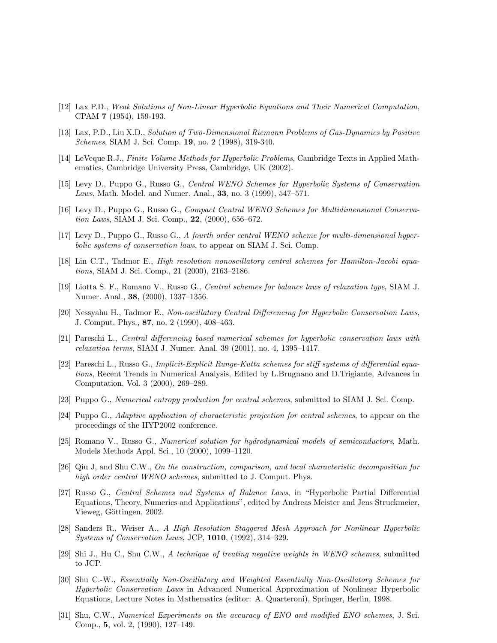- [12] Lax P.D., Weak Solutions of Non-Linear Hyperbolic Equations and Their Numerical Computation, CPAM 7 (1954), 159-193.
- [13] Lax, P.D., Liu X.D., Solution of Two-Dimensional Riemann Problems of Gas-Dynamics by Positive Schemes, SIAM J. Sci. Comp. 19, no. 2 (1998), 319-340.
- [14] LeVeque R.J., Finite Volume Methods for Hyperbolic Problems, Cambridge Texts in Applied Mathematics, Cambridge University Press, Cambridge, UK (2002).
- [15] Levy D., Puppo G., Russo G., Central WENO Schemes for Hyperbolic Systems of Conservation Laws, Math. Model. and Numer. Anal., 33, no. 3 (1999), 547–571.
- [16] Levy D., Puppo G., Russo G., Compact Central WENO Schemes for Multidimensional Conservation Laws, SIAM J. Sci. Comp., 22, (2000), 656–672.
- [17] Levy D., Puppo G., Russo G., A fourth order central WENO scheme for multi-dimensional hyperbolic systems of conservation laws, to appear on SIAM J. Sci. Comp.
- [18] Lin C.T., Tadmor E., High resolution nonoscillatory central schemes for Hamilton-Jacobi equations, SIAM J. Sci. Comp., 21 (2000), 2163–2186.
- [19] Liotta S. F., Romano V., Russo G., Central schemes for balance laws of relaxation type, SIAM J. Numer. Anal., 38, (2000), 1337–1356.
- [20] Nessyahu H., Tadmor E., Non-oscillatory Central Differencing for Hyperbolic Conservation Laws, J. Comput. Phys., 87, no. 2 (1990), 408–463.
- [21] Pareschi L., Central differencing based numerical schemes for hyperbolic conservation laws with relaxation terms, SIAM J. Numer. Anal. 39 (2001), no. 4, 1395–1417.
- [22] Pareschi L., Russo G., Implicit-Explicit Runge-Kutta schemes for stiff systems of differential equations, Recent Trends in Numerical Analysis, Edited by L.Brugnano and D.Trigiante, Advances in Computation, Vol. 3 (2000), 269–289.
- [23] Puppo G., Numerical entropy production for central schemes, submitted to SIAM J. Sci. Comp.
- [24] Puppo G., Adaptive application of characteristic projection for central schemes, to appear on the proceedings of the HYP2002 conference.
- [25] Romano V., Russo G., Numerical solution for hydrodynamical models of semiconductors, Math. Models Methods Appl. Sci., 10 (2000), 1099–1120.
- [26] Qiu J, and Shu C.W., On the construction, comparison, and local characteristic decomposition for high order central WENO schemes, submitted to J. Comput. Phys.
- [27] Russo G., Central Schemes and Systems of Balance Laws, in "Hyperbolic Partial Differential Equations, Theory, Numerics and Applications", edited by Andreas Meister and Jens Struckmeier, Vieweg, Göttingen, 2002.
- [28] Sanders R., Weiser A., A High Resolution Staggered Mesh Approach for Nonlinear Hyperbolic Systems of Conservation Laws, JCP, 1010, (1992), 314–329.
- [29] Shi J., Hu C., Shu C.W., A technique of treating negative weights in WENO schemes, submitted to JCP.
- [30] Shu C.-W., Essentially Non-Oscillatory and Weighted Essentially Non-Oscillatory Schemes for Hyperbolic Conservation Laws in Advanced Numerical Approximation of Nonlinear Hyperbolic Equations, Lecture Notes in Mathematics (editor: A. Quarteroni), Springer, Berlin, 1998.
- [31] Shu, C.W., Numerical Experiments on the accuracy of ENO and modified ENO schemes, J. Sci. Comp., 5, vol. 2, (1990), 127–149.